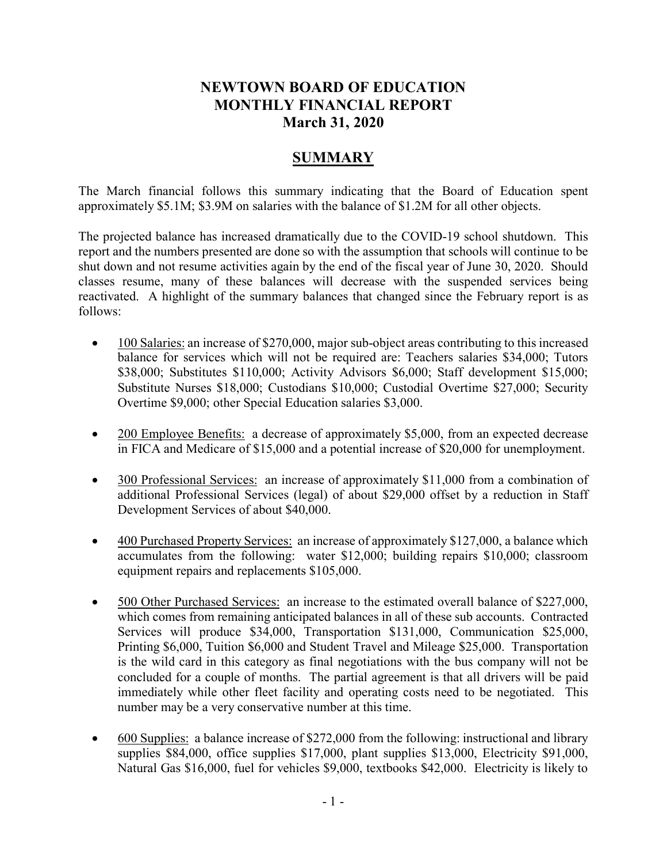# **NEWTOWN BOARD OF EDUCATION MONTHLY FINANCIAL REPORT March 31, 2020**

# **SUMMARY**

The March financial follows this summary indicating that the Board of Education spent approximately \$5.1M; \$3.9M on salaries with the balance of \$1.2M for all other objects.

The projected balance has increased dramatically due to the COVID-19 school shutdown. This report and the numbers presented are done so with the assumption that schools will continue to be shut down and not resume activities again by the end of the fiscal year of June 30, 2020. Should classes resume, many of these balances will decrease with the suspended services being reactivated. A highlight of the summary balances that changed since the February report is as follows:

- 100 Salaries: an increase of \$270,000, major sub-object areas contributing to this increased balance for services which will not be required are: Teachers salaries \$34,000; Tutors \$38,000; Substitutes \$110,000; Activity Advisors \$6,000; Staff development \$15,000; Substitute Nurses \$18,000; Custodians \$10,000; Custodial Overtime \$27,000; Security Overtime \$9,000; other Special Education salaries \$3,000.
- 200 Employee Benefits: a decrease of approximately \$5,000, from an expected decrease in FICA and Medicare of \$15,000 and a potential increase of \$20,000 for unemployment.
- 300 Professional Services: an increase of approximately \$11,000 from a combination of additional Professional Services (legal) of about \$29,000 offset by a reduction in Staff Development Services of about \$40,000.
- 400 Purchased Property Services: an increase of approximately \$127,000, a balance which accumulates from the following: water \$12,000; building repairs \$10,000; classroom equipment repairs and replacements \$105,000.
- 500 Other Purchased Services: an increase to the estimated overall balance of \$227,000, which comes from remaining anticipated balances in all of these sub accounts. Contracted Services will produce \$34,000, Transportation \$131,000, Communication \$25,000, Printing \$6,000, Tuition \$6,000 and Student Travel and Mileage \$25,000. Transportation is the wild card in this category as final negotiations with the bus company will not be concluded for a couple of months. The partial agreement is that all drivers will be paid immediately while other fleet facility and operating costs need to be negotiated. This number may be a very conservative number at this time.
- 600 Supplies: a balance increase of \$272,000 from the following: instructional and library supplies \$84,000, office supplies \$17,000, plant supplies \$13,000, Electricity \$91,000, Natural Gas \$16,000, fuel for vehicles \$9,000, textbooks \$42,000. Electricity is likely to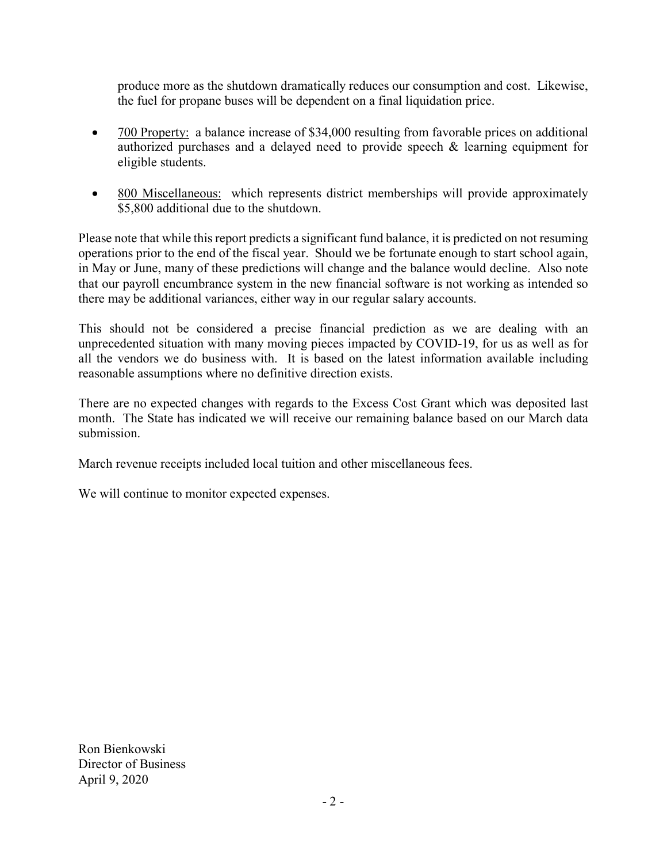produce more as the shutdown dramatically reduces our consumption and cost. Likewise, the fuel for propane buses will be dependent on a final liquidation price.

- 700 Property: a balance increase of \$34,000 resulting from favorable prices on additional authorized purchases and a delayed need to provide speech & learning equipment for eligible students.
- 800 Miscellaneous: which represents district memberships will provide approximately \$5,800 additional due to the shutdown.

Please note that while this report predicts a significant fund balance, it is predicted on not resuming operations prior to the end of the fiscal year. Should we be fortunate enough to start school again, in May or June, many of these predictions will change and the balance would decline. Also note that our payroll encumbrance system in the new financial software is not working as intended so there may be additional variances, either way in our regular salary accounts.

This should not be considered a precise financial prediction as we are dealing with an unprecedented situation with many moving pieces impacted by COVID-19, for us as well as for all the vendors we do business with. It is based on the latest information available including reasonable assumptions where no definitive direction exists.

There are no expected changes with regards to the Excess Cost Grant which was deposited last month. The State has indicated we will receive our remaining balance based on our March data submission.

March revenue receipts included local tuition and other miscellaneous fees.

We will continue to monitor expected expenses.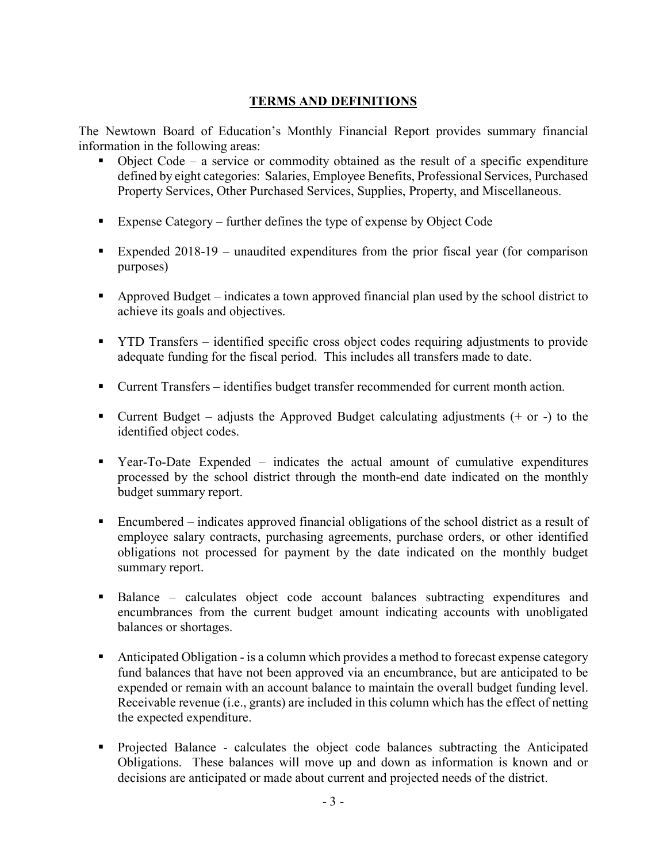## **TERMS AND DEFINITIONS**

The Newtown Board of Education's Monthly Financial Report provides summary financial information in the following areas:

- $\bullet$  Object Code a service or commodity obtained as the result of a specific expenditure defined by eight categories: Salaries, Employee Benefits, Professional Services, Purchased Property Services, Other Purchased Services, Supplies, Property, and Miscellaneous.
- Expense Category further defines the type of expense by Object Code
- Expended 2018-19 unaudited expenditures from the prior fiscal year (for comparison purposes)
- Approved Budget indicates a town approved financial plan used by the school district to achieve its goals and objectives.
- **THE TRANSF identified specific cross object codes requiring adjustments to provide** adequate funding for the fiscal period. This includes all transfers made to date.
- Current Transfers identifies budget transfer recommended for current month action.
- Current Budget adjusts the Approved Budget calculating adjustments  $(+)$  or  $-)$  to the identified object codes.
- Year-To-Date Expended indicates the actual amount of cumulative expenditures processed by the school district through the month-end date indicated on the monthly budget summary report.
- Encumbered indicates approved financial obligations of the school district as a result of employee salary contracts, purchasing agreements, purchase orders, or other identified obligations not processed for payment by the date indicated on the monthly budget summary report.
- Balance calculates object code account balances subtracting expenditures and encumbrances from the current budget amount indicating accounts with unobligated balances or shortages.
- Anticipated Obligation is a column which provides a method to forecast expense category fund balances that have not been approved via an encumbrance, but are anticipated to be expended or remain with an account balance to maintain the overall budget funding level. Receivable revenue (i.e., grants) are included in this column which has the effect of netting the expected expenditure.
- Projected Balance calculates the object code balances subtracting the Anticipated Obligations. These balances will move up and down as information is known and or decisions are anticipated or made about current and projected needs of the district.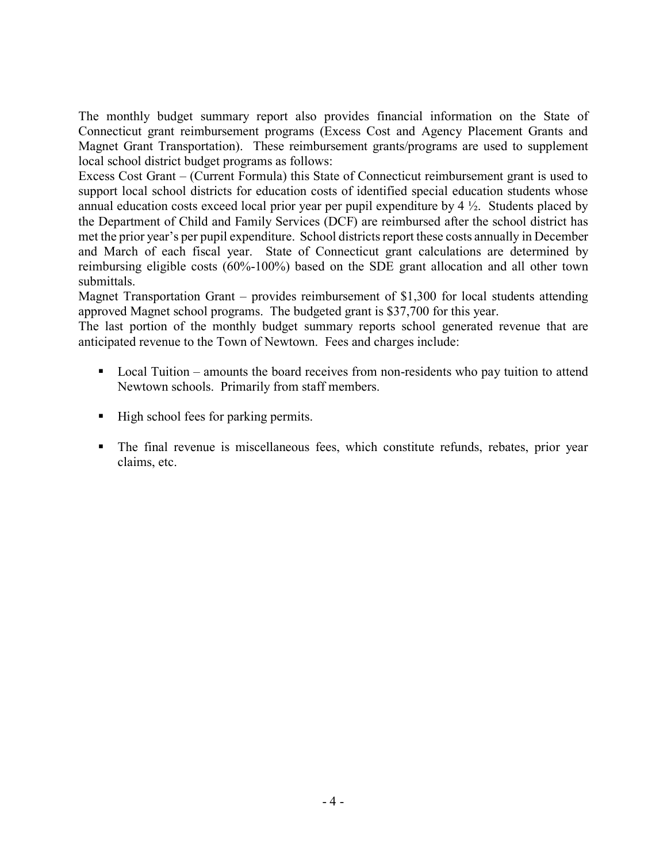The monthly budget summary report also provides financial information on the State of Connecticut grant reimbursement programs (Excess Cost and Agency Placement Grants and Magnet Grant Transportation). These reimbursement grants/programs are used to supplement local school district budget programs as follows:

Excess Cost Grant – (Current Formula) this State of Connecticut reimbursement grant is used to support local school districts for education costs of identified special education students whose annual education costs exceed local prior year per pupil expenditure by  $4\frac{1}{2}$ . Students placed by the Department of Child and Family Services (DCF) are reimbursed after the school district has met the prior year's per pupil expenditure. School districts report these costs annually in December and March of each fiscal year. State of Connecticut grant calculations are determined by reimbursing eligible costs (60%-100%) based on the SDE grant allocation and all other town submittals.

Magnet Transportation Grant – provides reimbursement of \$1,300 for local students attending approved Magnet school programs. The budgeted grant is \$37,700 for this year.

The last portion of the monthly budget summary reports school generated revenue that are anticipated revenue to the Town of Newtown. Fees and charges include:

- Local Tuition amounts the board receives from non-residents who pay tuition to attend Newtown schools. Primarily from staff members.
- $\blacksquare$  High school fees for parking permits.
- The final revenue is miscellaneous fees, which constitute refunds, rebates, prior year claims, etc.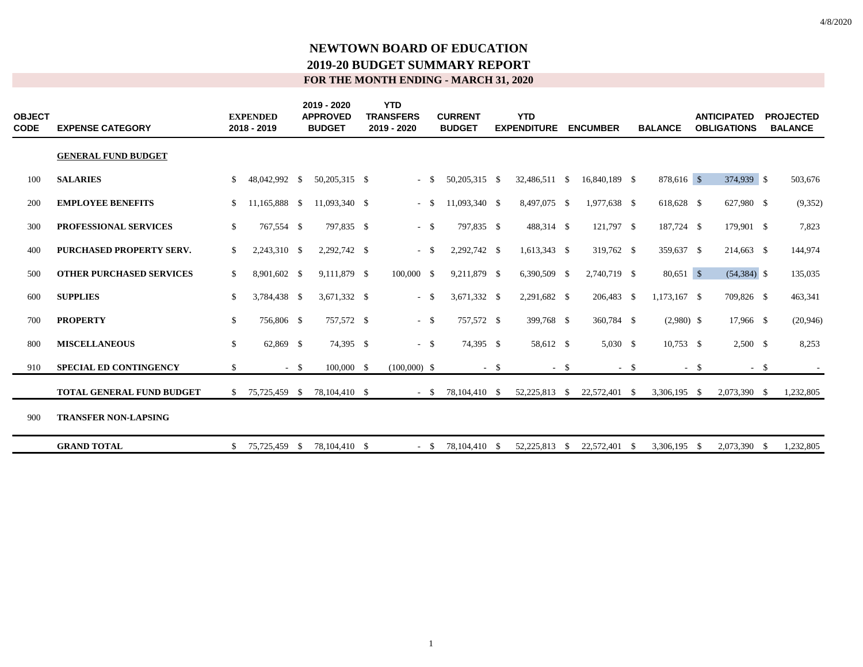| <b>OBJECT</b><br>CODE | <b>EXPENSE CATEGORY</b>          |    | <b>EXPENDED</b><br>2018 - 2019 |        | 2019 - 2020<br><b>APPROVED</b><br><b>BUDGET</b> | <b>YTD</b><br><b>TRANSFERS</b><br>2019 - 2020 |        | <b>CURRENT</b><br><b>BUDGET</b> |        | <b>YTD</b><br><b>EXPENDITURE</b> |        | <b>ENCUMBER</b>             |        | <b>BALANCE</b> |        | <b>ANTICIPATED</b><br><b>OBLIGATIONS</b> | <b>PROJECTED</b><br><b>BALANCE</b> |
|-----------------------|----------------------------------|----|--------------------------------|--------|-------------------------------------------------|-----------------------------------------------|--------|---------------------------------|--------|----------------------------------|--------|-----------------------------|--------|----------------|--------|------------------------------------------|------------------------------------|
|                       | <b>GENERAL FUND BUDGET</b>       |    |                                |        |                                                 |                                               |        |                                 |        |                                  |        |                             |        |                |        |                                          |                                    |
| 100                   | <b>SALARIES</b>                  | \$ | 48,042,992 \$                  |        | 50,205,315 \$                                   | $\sim$                                        | - \$   | 50,205,315 \$                   |        | 32,486,511                       | - \$   | 16,840,189 \$               |        | 878,616 \$     |        | 374,939 \$                               | 503,676                            |
| 200                   | <b>EMPLOYEE BENEFITS</b>         | \$ | 11,165,888 \$                  |        | 11,093,340 \$                                   | $\sim$                                        | -\$    | 11,093,340 \$                   |        | 8,497,075 \$                     |        | 1,977,638 \$                |        | 618,628 \$     |        | 627,980 \$                               | (9,352)                            |
| 300                   | <b>PROFESSIONAL SERVICES</b>     | \$ | 767,554 \$                     |        | 797.835 \$                                      |                                               | $-$ \$ | 797.835 \$                      |        | 488,314 \$                       |        | 121,797 \$                  |        | 187,724 \$     |        | 179,901 \$                               | 7,823                              |
| 400                   | <b>PURCHASED PROPERTY SERV.</b>  | \$ | 2,243,310 \$                   |        | 2,292,742 \$                                    | $\sim$                                        | - \$   | 2,292,742 \$                    |        | 1,613,343 \$                     |        | 319,762 \$                  |        | 359,637 \$     |        | 214,663 \$                               | 144,974                            |
| 500                   | <b>OTHER PURCHASED SERVICES</b>  | \$ | 8,901,602 \$                   |        | 9,111,879 \$                                    | 100,000 \$                                    |        | 9,211,879 \$                    |        | 6,390,509 \$                     |        | 2,740,719 \$                |        | $80,651$ \$    |        | $(54,384)$ \$                            | 135,035                            |
| 600                   | <b>SUPPLIES</b>                  | \$ | 3,784,438 \$                   |        | 3,671,332 \$                                    | $\sim$                                        | -S     | 3,671,332 \$                    |        | 2,291,682 \$                     |        | 206,483 \$                  |        | $1,173,167$ \$ |        | 709,826 \$                               | 463,341                            |
| 700                   | <b>PROPERTY</b>                  | \$ | 756,806 \$                     |        | 757,572 \$                                      |                                               | $-$ \$ | 757,572 \$                      |        | 399,768 \$                       |        | 360,784 \$                  |        | $(2,980)$ \$   |        | 17,966 \$                                | (20, 946)                          |
| 800                   | <b>MISCELLANEOUS</b>             | \$ | 62,869 \$                      |        | 74,395 \$                                       |                                               | $-$ \$ | 74,395 \$                       |        | 58,612 \$                        |        | $5,030$ \$                  |        | $10,753$ \$    |        | $2,500$ \$                               | 8,253                              |
| 910                   | <b>SPECIAL ED CONTINGENCY</b>    | \$ |                                | $-$ \$ | $100,000$ \$                                    | $(100,000)$ \$                                |        |                                 | $-$ \$ |                                  | $-$ \$ |                             | $-$ \$ |                | $-$ \$ | $-$ \$                                   | $\sim$                             |
|                       | <b>TOTAL GENERAL FUND BUDGET</b> | S. | 75,725,459 \$                  |        | 78,104,410 \$                                   |                                               |        | $-$ \$ 78,104,410 \$            |        |                                  |        | 52,225,813 \$ 22,572,401 \$ |        | 3,306,195 \$   |        | 2,073,390 \$                             | 1,232,805                          |
| 900                   | <b>TRANSFER NON-LAPSING</b>      |    |                                |        |                                                 |                                               |        |                                 |        |                                  |        |                             |        |                |        |                                          |                                    |
|                       | <b>GRAND TOTAL</b>               | \$ | 75,725,459 \$                  |        | 78,104,410 \$                                   |                                               | $-$ \$ | 78,104,410 \$                   |        | 52,225,813                       | - \$   | 22,572,401                  | - \$   | 3.306.195      | - \$   | 2,073,390 \$                             | 1,232,805                          |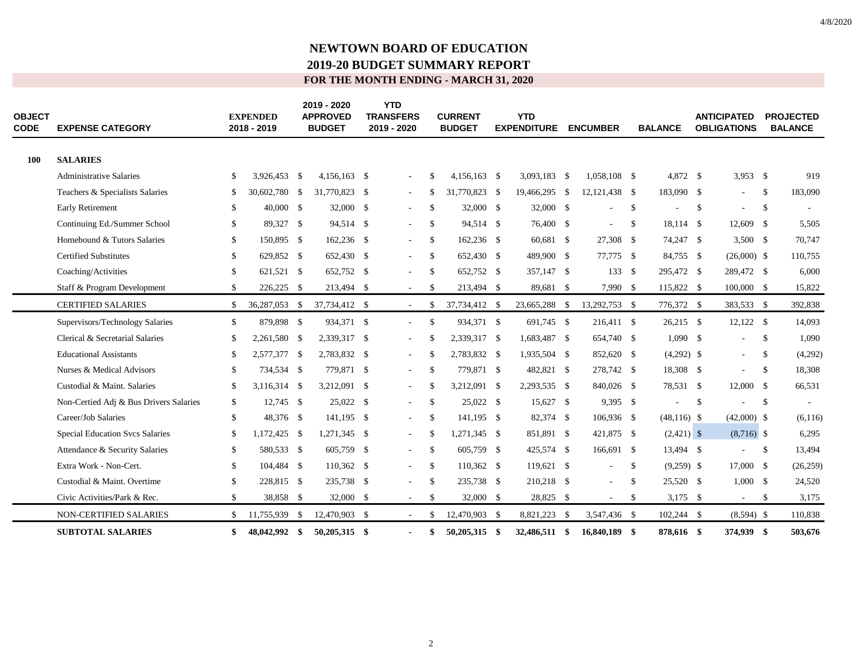| <b>OBJECT</b><br><b>CODE</b> | <b>EXPENSE CATEGORY</b>                | <b>EXPENDED</b><br>2018 - 2019 | 2019 - 2020<br><b>APPROVED</b><br><b>BUDGET</b> | <b>YTD</b><br><b>TRANSFERS</b><br>2019 - 2020 |               | <b>CURRENT</b><br><b>BUDGET</b> | <b>YTD</b><br><b>EXPENDITURE</b> |      | <b>ENCUMBER</b> |               | <b>BALANCE</b> |               | <b>ANTICIPATED</b><br><b>OBLIGATIONS</b> |               | <b>PROJECTED</b><br><b>BALANCE</b> |
|------------------------------|----------------------------------------|--------------------------------|-------------------------------------------------|-----------------------------------------------|---------------|---------------------------------|----------------------------------|------|-----------------|---------------|----------------|---------------|------------------------------------------|---------------|------------------------------------|
| 100                          | <b>SALARIES</b>                        |                                |                                                 |                                               |               |                                 |                                  |      |                 |               |                |               |                                          |               |                                    |
|                              | <b>Administrative Salaries</b>         | \$<br>3,926,453 \$             | $4,156,163$ \$                                  | $\overline{\phantom{a}}$                      | -S            | $4.156.163$ \$                  | 3,093,183 \$                     |      | 1.058.108 \$    |               | 4,872 \$       |               | 3,953 \$                                 |               | 919                                |
|                              | Teachers & Specialists Salaries        | \$<br>30,602,780 \$            | 31,770,823 \$                                   | $\overline{\phantom{a}}$                      | -S            | 31,770,823 \$                   | 19,466,295                       | - \$ | 12, 121, 438 \$ |               | 183,090 \$     |               | ÷.                                       | <sup>\$</sup> | 183,090                            |
|                              | Early Retirement                       | \$<br>40,000 \$                | 32,000 \$                                       | $\sim$                                        | <sup>\$</sup> | 32,000 \$                       | 32,000 \$                        |      | $\overline{a}$  | <sup>\$</sup> |                | <sup>\$</sup> | $\overline{a}$                           | <sup>\$</sup> |                                    |
|                              | Continuing Ed./Summer School           | \$<br>89,327 \$                | 94,514 \$                                       | $\overline{\phantom{a}}$                      | <sup>\$</sup> | 94,514 \$                       | 76,400 \$                        |      | ٠               | <sup>\$</sup> | 18,114 \$      |               | 12,609 \$                                |               | 5,505                              |
|                              | Homebound & Tutors Salaries            | \$<br>150,895 \$               | 162,236 \$                                      | $\sim$                                        | <sup>\$</sup> | 162,236 \$                      | 60,681 \$                        |      | 27,308          | -\$           | 74,247 \$      |               | $3,500$ \$                               |               | 70,747                             |
|                              | <b>Certified Substitutes</b>           | \$<br>629,852 \$               | 652,430 \$                                      | $\overline{\phantom{a}}$                      | <sup>\$</sup> | 652,430 \$                      | 489,900 \$                       |      | 77.775 \$       |               | 84,755 \$      |               | $(26,000)$ \$                            |               | 110,755                            |
|                              | Coaching/Activities                    | \$<br>621,521 \$               | 652,752 \$                                      |                                               | \$            | 652,752 \$                      | 357,147 \$                       |      | 133S            |               | 295,472 \$     |               | 289,472 \$                               |               | 6,000                              |
|                              | Staff & Program Development            | \$<br>226,225 \$               | 213,494 \$                                      | $\sim$                                        | <sup>\$</sup> | 213,494 \$                      | 89,681 \$                        |      | 7,990 \$        |               | 115,822 \$     |               | $100,000$ \$                             |               | 15,822                             |
|                              | <b>CERTIFIED SALARIES</b>              | \$<br>36,287,053 \$            | 37,734,412 \$                                   | $\sim$                                        | S             | 37,734,412 \$                   | 23,665,288 \$                    |      | 13,292,753 \$   |               | 776,372 \$     |               | 383,533 \$                               |               | 392,838                            |
|                              | Supervisors/Technology Salaries        | \$<br>879,898 \$               | 934,371 \$                                      | $\sim$                                        | \$            | 934,371 \$                      | 691,745 \$                       |      | 216,411 \$      |               | $26,215$ \$    |               | $12,122$ \$                              |               | 14,093                             |
|                              | Clerical & Secretarial Salaries        | \$<br>2,261,580 \$             | 2,339,317 \$                                    | $\overline{\phantom{a}}$                      | S             | 2,339,317 \$                    | 1,683,487 \$                     |      | 654,740 \$      |               | $1,090$ \$     |               | $\overline{\phantom{a}}$                 | <sup>\$</sup> | 1,090                              |
|                              | <b>Educational Assistants</b>          | \$<br>2,577,377 \$             | 2,783,832 \$                                    | $\sim$                                        | <sup>\$</sup> | 2,783,832 \$                    | 1,935,504 \$                     |      | 852,620 \$      |               | $(4,292)$ \$   |               | $\overline{\phantom{a}}$                 | <sup>\$</sup> | (4,292)                            |
|                              | Nurses & Medical Advisors              | \$<br>734,534 \$               | 779,871 \$                                      | $\overline{\phantom{a}}$                      | <sup>\$</sup> | 779,871 \$                      | 482,821 \$                       |      | 278,742 \$      |               | 18,308 \$      |               |                                          | <sup>\$</sup> | 18,308                             |
|                              | Custodial & Maint. Salaries            | \$<br>3,116,314 \$             | 3,212,091 \$                                    |                                               | <sup>\$</sup> | 3,212,091 \$                    | 2,293,535 \$                     |      | 840,026 \$      |               | 78,531 \$      |               | 12,000 S                                 |               | 66,531                             |
|                              | Non-Certied Adj & Bus Drivers Salaries | \$<br>$12,745$ \$              | 25,022 \$                                       | $\overline{\phantom{a}}$                      | \$            | 25,022 \$                       | 15,627 \$                        |      | 9,395 \$        |               |                | \$            |                                          | $\mathbb{S}$  |                                    |
|                              | Career/Job Salaries                    | \$<br>48,376 \$                | 141,195 \$                                      | $\sim$                                        | \$            | 141,195 \$                      | 82,374 \$                        |      | 106,936 \$      |               | $(48,116)$ \$  |               | $(42,000)$ \$                            |               | (6,116)                            |
|                              | <b>Special Education Svcs Salaries</b> | \$<br>1,172,425 \$             | 1,271,345 \$                                    | $\overline{\phantom{a}}$                      | <sup>\$</sup> | 1,271,345 \$                    | 851,891 \$                       |      | 421,875 \$      |               | $(2,421)$ \$   |               | $(8,716)$ \$                             |               | 6,295                              |
|                              | Attendance & Security Salaries         | \$<br>580,533 \$               | 605,759 \$                                      | $\overline{\phantom{a}}$                      | \$            | 605,759 \$                      | 425,574 \$                       |      | 166,691 \$      |               | 13,494 \$      |               | ٠                                        | <sup>\$</sup> | 13,494                             |
|                              | Extra Work - Non-Cert.                 | \$<br>104,484 \$               | $110,362$ \$                                    | $\sim$                                        | \$            | 110,362 \$                      | 119,621 \$                       |      | ÷,              | \$            | $(9,259)$ \$   |               | 17,000 \$                                |               | (26, 259)                          |
|                              | Custodial & Maint. Overtime            | \$<br>228,815 \$               | 235,738 \$                                      |                                               | <sup>\$</sup> | 235,738 \$                      | 210,218 \$                       |      |                 | -S            | 25,520 \$      |               | 1,000 S                                  |               | 24,520                             |
|                              | Civic Activities/Park & Rec.           | \$<br>38,858 \$                | 32,000 \$                                       | $\sim$                                        | \$            | 32,000 \$                       | 28,825 \$                        |      | $\sim$          | -S            | $3,175$ \$     |               | $\sim$                                   | -S            | 3,175                              |
|                              | <b>NON-CERTIFIED SALARIES</b>          | \$<br>11,755,939 \$            | 12,470,903 \$                                   | $\sim$                                        | £.            | 12,470,903 \$                   | 8,821,223                        | - \$ | 3,547,436 \$    |               | $102,244$ \$   |               | $(8,594)$ \$                             |               | 110,838                            |
|                              | <b>SUBTOTAL SALARIES</b>               | \$<br>48,042,992 \$            | $50,205,315$ \$                                 |                                               | \$            | 50,205,315 \$                   | 32,486,511 \$                    |      | 16,840,189      | -\$           | 878,616 \$     |               | 374,939 \$                               |               | 503,676                            |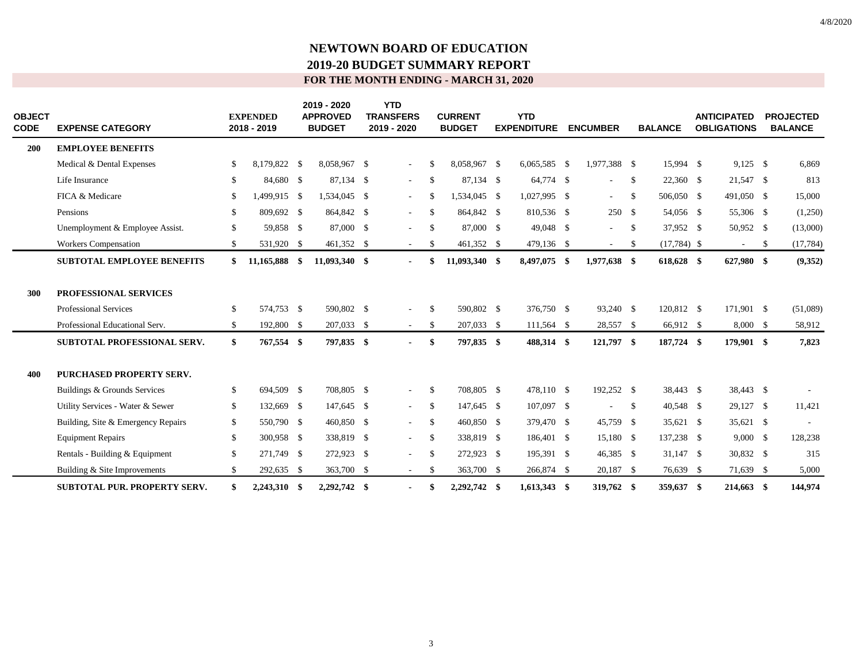| <b>OBJECT</b><br><b>CODE</b> | <b>EXPENSE CATEGORY</b>             | <b>EXPENDED</b><br>2018 - 2019 | 2019 - 2020<br><b>APPROVED</b><br><b>BUDGET</b> | <b>YTD</b><br><b>TRANSFERS</b><br>2019 - 2020 |               | <b>CURRENT</b><br><b>BUDGET</b> | <b>YTD</b><br><b>EXPENDITURE</b> | <b>ENCUMBER</b>          |              | <b>BALANCE</b> | <b>ANTICIPATED</b><br><b>OBLIGATIONS</b> | <b>PROJECTED</b><br><b>BALANCE</b> |
|------------------------------|-------------------------------------|--------------------------------|-------------------------------------------------|-----------------------------------------------|---------------|---------------------------------|----------------------------------|--------------------------|--------------|----------------|------------------------------------------|------------------------------------|
| 200                          | <b>EMPLOYEE BENEFITS</b>            |                                |                                                 |                                               |               |                                 |                                  |                          |              |                |                                          |                                    |
|                              | Medical & Dental Expenses           | \$<br>8,179,822 \$             | 8,058,967 \$                                    | $\sim$                                        | -S            | 8.058.967 \$                    | $6,065,585$ \$                   | 1,977,388 \$             |              | 15.994 \$      | $9,125$ \$                               | 6,869                              |
|                              | Life Insurance                      | \$<br>84,680 \$                | 87,134 \$                                       |                                               | \$            | 87,134 \$                       | 64,774 \$                        | $\sim$                   | \$           | 22,360 \$      | 21,547 \$                                | 813                                |
|                              | FICA & Medicare                     | \$<br>499,915 \$               | 1,534,045 \$                                    | $\sim$                                        | -S            | 1,534,045 \$                    | 1,027,995 \$                     | $\sim$                   | $\mathbb{S}$ | 506,050 \$     | 491,050 \$                               | 15,000                             |
|                              | Pensions                            | \$<br>809,692 \$               | 864,842 \$                                      | $\sim$                                        | S.            | 864,842 \$                      | 810,536 \$                       | 250S                     |              | 54,056 \$      | 55,306 \$                                | (1,250)                            |
|                              | Unemployment & Employee Assist.     | \$<br>59,858 \$                | 87,000 \$                                       | $\sim$                                        | <sup>\$</sup> | 87,000 \$                       | 49,048 \$                        | $\sim$                   | $\mathbb{S}$ | 37,952 \$      | 50,952 \$                                | (13,000)                           |
|                              | <b>Workers Compensation</b>         | \$<br>531,920 \$               | 461,352 \$                                      | $\sim$                                        | \$            | 461,352 \$                      | 479,136 \$                       | $\sim$                   | \$           | $(17,784)$ \$  | $\sim$                                   | \$<br>(17, 784)                    |
|                              | <b>SUBTOTAL EMPLOYEE BENEFITS</b>   | \$<br>11,165,888 \$            | 11,093,340 \$                                   |                                               | \$            | 11,093,340 \$                   | 8,497,075 \$                     | 1,977,638 \$             |              | 618,628 \$     | 627,980 \$                               | (9, 352)                           |
| 300                          | <b>PROFESSIONAL SERVICES</b>        |                                |                                                 |                                               |               |                                 |                                  |                          |              |                |                                          |                                    |
|                              | <b>Professional Services</b>        | \$<br>574,753 \$               | 590,802 \$                                      |                                               | \$            | 590,802 \$                      | 376,750 \$                       | 93,240 \$                |              | 120,812 \$     | 171,901 \$                               | (51,089)                           |
|                              | Professional Educational Serv.      | \$<br>192,800 \$               | 207,033 \$                                      | $\sim$                                        | S             | 207,033 \$                      | 111,564 \$                       | 28,557 \$                |              | 66,912 \$      | 8,000 \$                                 | 58,912                             |
|                              | SUBTOTAL PROFESSIONAL SERV.         | \$<br>767,554 \$               | 797,835 \$                                      |                                               | \$            | 797,835 \$                      | 488,314 \$                       | 121,797 \$               |              | 187,724 \$     | 179,901 \$                               | 7,823                              |
| 400                          | <b>PURCHASED PROPERTY SERV.</b>     |                                |                                                 |                                               |               |                                 |                                  |                          |              |                |                                          |                                    |
|                              | Buildings & Grounds Services        | \$<br>694,509 \$               | 708,805 \$                                      | $\sim$                                        | <sup>\$</sup> | 708.805 \$                      | 478.110 \$                       | 192,252 \$               |              | 38.443 \$      | 38,443 \$                                |                                    |
|                              | Utility Services - Water & Sewer    | \$<br>132,669 \$               | 147,645 \$                                      | $\sim$                                        | \$            | 147,645 \$                      | 107,097 \$                       | $\overline{\phantom{a}}$ | -S           | 40,548 \$      | 29,127 \$                                | 11,421                             |
|                              | Building, Site & Emergency Repairs  | \$<br>550,790 \$               | 460,850 \$                                      | $\sim$                                        | \$            | 460,850 \$                      | 379,470 \$                       | 45,759 \$                |              | 35,621 \$      | 35,621 \$                                |                                    |
|                              | <b>Equipment Repairs</b>            | \$<br>300,958 \$               | 338,819 \$                                      | $\sim$                                        | \$            | 338,819 \$                      | 186,401 \$                       | 15,180 \$                |              | 137,238 \$     | $9,000 \quad$ \$                         | 128,238                            |
|                              | Rentals - Building & Equipment      | \$<br>271,749 \$               | 272,923 \$                                      |                                               | <sup>\$</sup> | 272,923 \$                      | 195,391 \$                       | 46,385 \$                |              | $31,147$ \$    | 30,832 \$                                | 315                                |
|                              | Building & Site Improvements        | \$<br>292,635 \$               | 363,700 \$                                      | $\sim$                                        | S.            | 363,700 \$                      | 266,874 \$                       | 20,187 \$                |              | 76,639 \$      | 71,639 \$                                | 5,000                              |
|                              | <b>SUBTOTAL PUR. PROPERTY SERV.</b> | \$<br>2,243,310 \$             | 2,292,742 \$                                    |                                               | \$            | 2,292,742 \$                    | 1,613,343 \$                     | 319,762 \$               |              | 359,637 \$     | 214,663 \$                               | 144,974                            |

3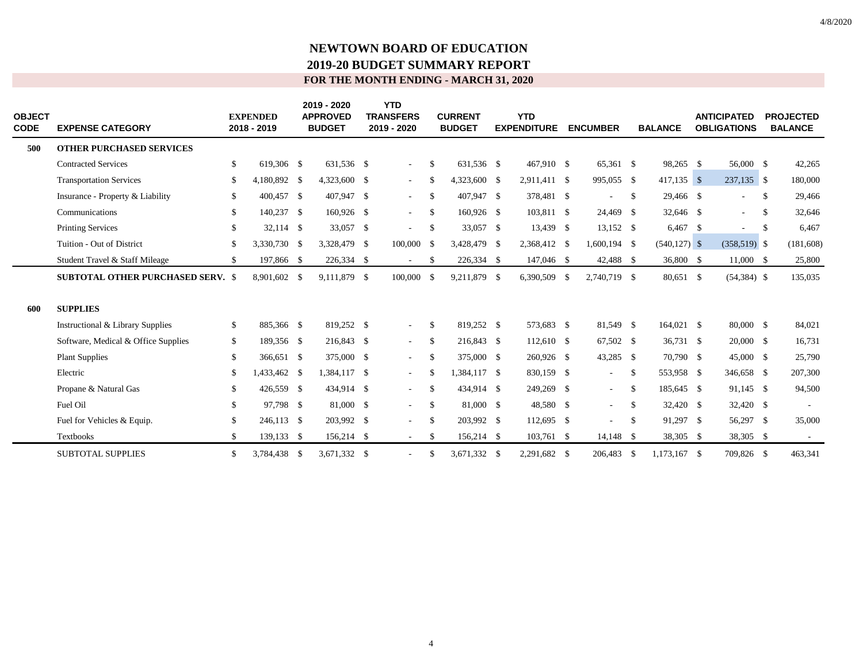| <b>OBJECT</b><br><b>CODE</b> | <b>EXPENSE CATEGORY</b>                  | <b>EXPENDED</b><br>2018 - 2019 | 2019 - 2020<br><b>APPROVED</b><br><b>BUDGET</b> | <b>YTD</b><br><b>TRANSFERS</b><br>2019 - 2020 |               | <b>CURRENT</b><br><b>BUDGET</b> | <b>YTD</b><br><b>EXPENDITURE</b> | <b>ENCUMBER</b> |               | <b>BALANCE</b>  | <b>ANTICIPATED</b><br><b>OBLIGATIONS</b> |               | <b>PROJECTED</b><br><b>BALANCE</b> |
|------------------------------|------------------------------------------|--------------------------------|-------------------------------------------------|-----------------------------------------------|---------------|---------------------------------|----------------------------------|-----------------|---------------|-----------------|------------------------------------------|---------------|------------------------------------|
| 500                          | <b>OTHER PURCHASED SERVICES</b>          |                                |                                                 |                                               |               |                                 |                                  |                 |               |                 |                                          |               |                                    |
|                              | <b>Contracted Services</b>               | \$<br>619,306 \$               | 631.536 \$                                      | $\sim$                                        | <sup>\$</sup> | 631.536 \$                      | 467.910 \$                       | 65.361 \$       |               | 98,265 \$       | 56,000 \$                                |               | 42,265                             |
|                              | <b>Transportation Services</b>           | \$<br>$,180,892$ \$            | 4,323,600 \$                                    | $\sim$                                        | \$            | 4,323,600 \$                    | 2,911,411 \$                     | 995,055 \$      |               | $417,135$ \$    | 237,135 \$                               |               | 180,000                            |
|                              | Insurance - Property & Liability         | \$<br>400,457 \$               | 407,947 \$                                      | $\sim$                                        | \$            | 407,947 \$                      | 378,481 \$                       |                 | $\mathbb{S}$  | 29,466 \$       | ÷,                                       | -S            | 29,466                             |
|                              | Communications                           | \$<br>140,237 \$               | 160,926 \$                                      | $\sim$                                        | -S            | 160,926 \$                      | 103,811 \$                       | 24,469 \$       |               | 32,646 \$       | ٠                                        | <sup>\$</sup> | 32,646                             |
|                              | <b>Printing Services</b>                 | \$<br>32,114 \$                | 33,057 \$                                       | $\sim$                                        | -\$           | 33,057 \$                       | 13,439 \$                        | $13,152$ \$     |               | $6,467$ \$      | ٠                                        | <sup>\$</sup> | 6,467                              |
|                              | Tuition - Out of District                | \$<br>3,330,730 \$             | 3,328,479 \$                                    | 100,000 \$                                    |               | 3,428,479 \$                    | 2,368,412 \$                     | $1,600,194$ \$  |               | $(540, 127)$ \$ | $(358,519)$ \$                           |               | (181, 608)                         |
|                              | Student Travel & Staff Mileage           | \$<br>197,866 \$               | 226,334 \$                                      | $\sim$                                        | -S            | 226,334 \$                      | 147,046 \$                       | 42,488 \$       |               | 36,800 \$       | 11,000 \$                                |               | 25,800                             |
|                              | <b>SUBTOTAL OTHER PURCHASED SERV. \$</b> | 8,901,602 \$                   | 9,111,879 \$                                    | 100,000 \$                                    |               | 9,211,879 \$                    | 6,390,509 \$                     | 2,740,719 \$    |               | 80,651 \$       | $(54,384)$ \$                            |               | 135,035                            |
| 600                          | <b>SUPPLIES</b>                          |                                |                                                 |                                               |               |                                 |                                  |                 |               |                 |                                          |               |                                    |
|                              | Instructional & Library Supplies         | \$<br>885,366 \$               | 819,252 \$                                      | $\sim$                                        | -S            | 819,252 \$                      | 573,683 \$                       | 81,549 \$       |               | 164,021 \$      | 80,000 \$                                |               | 84,021                             |
|                              | Software, Medical & Office Supplies      | \$<br>189,356 \$               | 216,843 \$                                      | $\sim$                                        | \$            | 216,843 \$                      | $112,610$ \$                     | 67,502 \$       |               | 36,731 \$       | 20,000 \$                                |               | 16,731                             |
|                              | <b>Plant Supplies</b>                    | \$<br>366,651 \$               | 375,000 \$                                      | $\sim$                                        | -S            | 375,000 \$                      | 260,926 \$                       | 43,285 \$       |               | 70,790 \$       | 45,000 \$                                |               | 25,790                             |
|                              | Electric                                 | \$<br>433,462 \$               | 1,384,117 \$                                    | $\sim$                                        | -\$           | 1,384,117 \$                    | 830,159 \$                       | $\sim$          | $\mathcal{S}$ | 553,958 \$      | 346,658 \$                               |               | 207,300                            |
|                              | Propane & Natural Gas                    | \$<br>426,559 \$               | 434,914 \$                                      | $\sim$                                        | -S            | 434,914 \$                      | 249,269 \$                       | $\sim$          | \$            | 185,645 \$      | 91,145 \$                                |               | 94,500                             |
|                              | Fuel Oil                                 | \$<br>97,798 \$                | 81,000 \$                                       | $\sim$                                        | -S            | 81,000 \$                       | 48,580 \$                        | $\sim$          | <sup>S</sup>  | 32,420 \$       | 32,420 \$                                |               |                                    |
|                              | Fuel for Vehicles & Equip.               | \$<br>246,113 \$               | 203,992 \$                                      | $\sim$                                        | -S            | 203,992 \$                      | 112,695 \$                       | ÷               | -S            | 91,297 \$       | 56,297 \$                                |               | 35,000                             |
|                              | Textbooks                                | \$<br>139,133 \$               | 156,214 \$                                      |                                               | -S            | 156,214 \$                      | $103,761$ \$                     | $14,148$ \$     |               | 38,305 \$       | 38,305 \$                                |               |                                    |
|                              | <b>SUBTOTAL SUPPLIES</b>                 | \$<br>3,784,438 \$             | 3,671,332 \$                                    |                                               | -S            | 3,671,332 \$                    | 2,291,682 \$                     | 206,483         | -\$           | $1,173,167$ \$  | 709,826 \$                               |               | 463,341                            |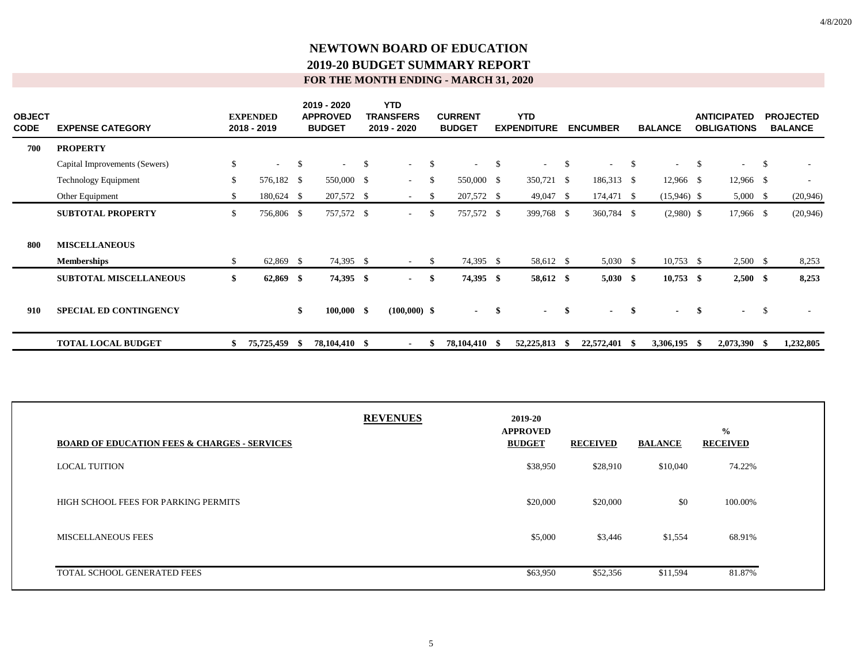| <b>OBJECT</b><br><b>CODE</b> | <b>EXPENSE CATEGORY</b>       |              | <b>EXPENDED</b><br>2018 - 2019 |      | 2019 - 2020<br><b>APPROVED</b><br><b>BUDGET</b> |     | <b>YTD</b><br><b>TRANSFERS</b><br>2019 - 2020 |               | <b>CURRENT</b><br><b>BUDGET</b> |      | <b>YTD</b><br><b>EXPENDITURE</b> |               | <b>ENCUMBER</b>          |              | <b>BALANCE</b> |               | <b>ANTICIPATED</b><br><b>OBLIGATIONS</b> |               | <b>PROJECTED</b><br><b>BALANCE</b> |
|------------------------------|-------------------------------|--------------|--------------------------------|------|-------------------------------------------------|-----|-----------------------------------------------|---------------|---------------------------------|------|----------------------------------|---------------|--------------------------|--------------|----------------|---------------|------------------------------------------|---------------|------------------------------------|
| 700                          | <b>PROPERTY</b>               |              |                                |      |                                                 |     |                                               |               |                                 |      |                                  |               |                          |              |                |               |                                          |               |                                    |
|                              | Capital Improvements (Sewers) | \$           | $\sim$                         | \$   | $\sim$                                          | -\$ | $\sim$ 10 $\pm$                               | -\$           | $\sim$ 100 $\mu$                | - \$ |                                  | <sup>\$</sup> | $\overline{\phantom{a}}$ | $\mathbb{S}$ |                | <sup>\$</sup> | $\sim$                                   | $\mathbb{S}$  |                                    |
|                              | <b>Technology Equipment</b>   | \$           | 576,182 \$                     |      | 550,000 \$                                      |     | $\sim$                                        | S.            | 550,000 \$                      |      | 350,721 \$                       |               | 186,313 \$               |              | $12,966$ \$    |               | 12,966 \$                                |               | $\overline{\phantom{a}}$           |
|                              | Other Equipment               | \$.          | 180,624 \$                     |      | 207,572 \$                                      |     | $\sim$                                        | \$            | 207,572 \$                      |      | $49,047$ \$                      |               | 174,471 \$               |              | $(15,946)$ \$  |               | $5,000 \quad$ \$                         |               | (20, 946)                          |
|                              | <b>SUBTOTAL PROPERTY</b>      | $\mathbb{S}$ | 756,806 \$                     |      | 757,572 \$                                      |     | $\sim$                                        | <sup>\$</sup> | 757,572 \$                      |      | 399,768 \$                       |               | 360,784 \$               |              | $(2,980)$ \$   |               | 17,966 \$                                |               | (20, 946)                          |
| 800                          | <b>MISCELLANEOUS</b>          |              |                                |      |                                                 |     |                                               |               |                                 |      |                                  |               |                          |              |                |               |                                          |               |                                    |
|                              | <b>Memberships</b>            | \$.          | 62,869                         | - \$ | 74,395 \$                                       |     | $\sim$                                        | <sup>\$</sup> | 74,395 \$                       |      | 58,612 \$                        |               | $5,030$ \$               |              | $10,753$ \$    |               | $2,500$ \$                               |               | 8,253                              |
|                              | <b>SUBTOTAL MISCELLANEOUS</b> | \$           | $62,869$ \$                    |      | 74,395 \$                                       |     | $\sim$                                        | -\$           | 74,395 \$                       |      | 58,612 \$                        |               | $5,030$ \$               |              | $10,753$ \$    |               | $2,500$ \$                               |               | 8,253                              |
| 910                          | <b>SPECIAL ED CONTINGENCY</b> |              |                                | \$   | $100,000$ \$                                    |     | $(100,000)$ \$                                |               | $-$ \$                          |      | $\blacksquare$                   | -\$           | $\sim$                   | -\$          | $\blacksquare$ | \$            | $\sim$                                   | $\mathcal{S}$ |                                    |
|                              | <b>TOTAL LOCAL BUDGET</b>     |              | 75,725,459                     | -S   | 78,104,410 \$                                   |     |                                               |               | 78,104,410                      |      | 52,225,813                       | - 55          | 22,572,401               | - \$         | 3,306,195      | - \$          | 2,073,390 \$                             |               | 1,232,805                          |

| <b>BOARD OF EDUCATION FEES &amp; CHARGES - SERVICES</b> | <b>REVENUES</b> | 2019-20<br><b>APPROVED</b><br><b>BUDGET</b> | <b>RECEIVED</b> | <b>BALANCE</b> | $\frac{0}{0}$<br><b>RECEIVED</b> |
|---------------------------------------------------------|-----------------|---------------------------------------------|-----------------|----------------|----------------------------------|
| <b>LOCAL TUITION</b>                                    |                 | \$38,950                                    | \$28,910        | \$10,040       | 74.22%                           |
| HIGH SCHOOL FEES FOR PARKING PERMITS                    |                 | \$20,000                                    | \$20,000        | \$0            | 100.00%                          |
| <b>MISCELLANEOUS FEES</b>                               |                 | \$5,000                                     | \$3,446         | \$1,554        | 68.91%                           |
| TOTAL SCHOOL GENERATED FEES                             |                 | \$63,950                                    | \$52,356        | \$11,594       | 81.87%                           |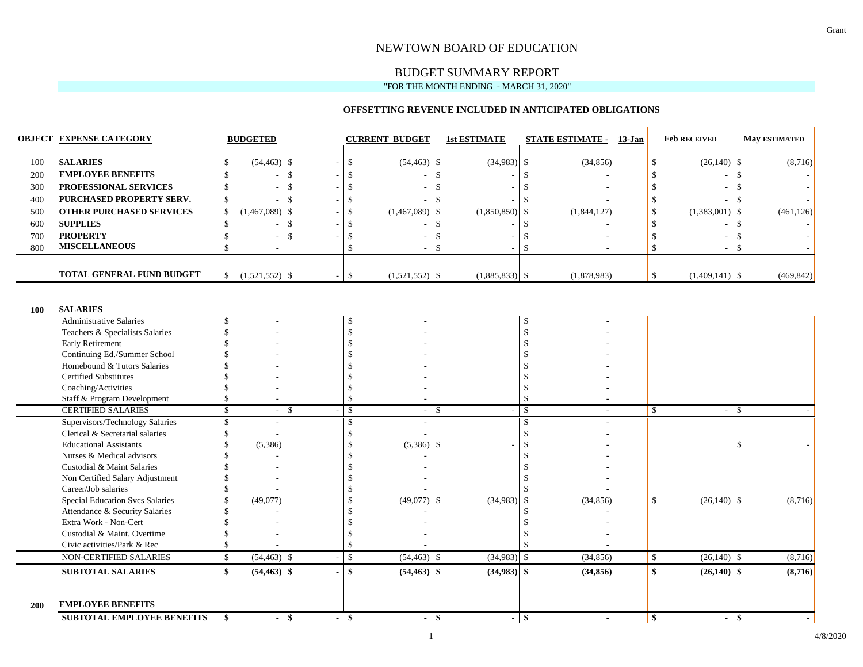#### NEWTOWN BOARD OF EDUCATION

# BUDGET SUMMARY REPORT

"FOR THE MONTH ENDING - MARCH 31, 2020"

#### **OFFSETTING REVENUE INCLUDED IN ANTICIPATED OBLIGATIONS**

|            | <b>OBJECT EXPENSE CATEGORY</b>                                |                    | <b>BUDGETED</b>                  |                    | <b>CURRENT BUDGET</b> | <b>1st ESTIMATE</b> |                                | <b>STATE ESTIMATE - 13-Jan</b> |               | <b>Feb RECEIVED</b> | <b>May ESTIMATED</b> |
|------------|---------------------------------------------------------------|--------------------|----------------------------------|--------------------|-----------------------|---------------------|--------------------------------|--------------------------------|---------------|---------------------|----------------------|
| 100        | <b>SALARIES</b>                                               |                    | $(54, 463)$ \$                   | $\mathbf{\hat{S}}$ | $(54, 463)$ \$        | $(34,983)$ \$       |                                | (34, 856)                      | \$            | $(26,140)$ \$       | (8,716)              |
| 200        | <b>EMPLOYEE BENEFITS</b>                                      | \$.                | - \$                             | -8                 |                       | \$                  | $\mathcal{S}$                  |                                | \$            | \$                  |                      |
| 300        | PROFESSIONAL SERVICES                                         | \$                 | $\mathcal{S}$<br>÷               |                    | $\mathcal{S}$         |                     | $\mathbf{\hat{S}}$             |                                | \$            | $\mathbb{S}$        |                      |
| 400        | PURCHASED PROPERTY SERV.                                      | -S                 | - \$<br>$\overline{\phantom{a}}$ |                    |                       | -\$                 | -\$                            |                                | \$            | - \$                |                      |
| 500        | <b>OTHER PURCHASED SERVICES</b>                               | <sup>\$</sup>      | $(1,467,089)$ \$                 |                    | $(1,467,089)$ \$      | (1,850,850)         | \$                             | (1,844,127)                    | \$            | $(1,383,001)$ \$    | (461, 126)           |
| 600        | <b>SUPPLIES</b>                                               | \$                 | - \$                             |                    |                       | $\mathbb{S}$        | $\mathbf{\$}$                  |                                | \$            | $\mathcal{S}$       |                      |
| 700        | <b>PROPERTY</b>                                               | \$                 | $\mathcal{S}$                    |                    |                       | \$                  | - \$                           |                                | -S            | $\mathbb{S}$        |                      |
| 800        | <b>MISCELLANEOUS</b>                                          | $\mathbf{\hat{S}}$ |                                  | $\mathbf{\hat{S}}$ | $\sim$                | -S                  | $\mathbf{\hat{S}}$             |                                | $\mathcal{S}$ | - \$<br>$\sim$      |                      |
|            | TOTAL GENERAL FUND BUDGET                                     | \$                 | $(1,521,552)$ \$                 | $\mathbb{S}$       | $(1,521,552)$ \$      | $(1,885,833)$ \$    |                                | (1,878,983)                    | \$            | $(1,409,141)$ \$    | (469, 842)           |
| 100        | <b>SALARIES</b>                                               |                    |                                  |                    |                       |                     |                                |                                |               |                     |                      |
|            | <b>Administrative Salaries</b>                                | <sup>\$</sup>      |                                  | $\mathbb{S}$       |                       |                     | \$                             |                                |               |                     |                      |
|            | Teachers & Specialists Salaries                               |                    |                                  | $\mathcal{S}$      |                       |                     | \$                             |                                |               |                     |                      |
|            | Early Retirement<br>Continuing Ed./Summer School              |                    |                                  |                    |                       |                     | $\mathcal{S}$<br>$\mathcal{S}$ |                                |               |                     |                      |
|            | Homebound & Tutors Salaries                                   |                    |                                  |                    |                       |                     | $\mathcal{S}$                  |                                |               |                     |                      |
|            | <b>Certified Substitutes</b>                                  |                    |                                  |                    |                       |                     |                                |                                |               |                     |                      |
|            | Coaching/Activities                                           |                    |                                  |                    |                       |                     | $\mathcal{S}$                  |                                |               |                     |                      |
|            | Staff & Program Development                                   | \$                 |                                  | $\mathcal{S}$      |                       |                     | $\mathcal{S}$                  |                                |               |                     |                      |
|            | <b>CERTIFIED SALARIES</b>                                     | \$                 | - \$<br>$\sim$                   | $\mathbb{S}$       | -\$<br>$\sim$         |                     | $\mathcal{S}$                  |                                | \$            | $-5$                |                      |
|            | Supervisors/Technology Salaries                               | \$                 | ÷                                | \$                 |                       |                     | -\$                            |                                |               |                     |                      |
|            | Clerical & Secretarial salaries                               | \$.                |                                  | $\mathcal{S}$      |                       |                     | $\mathcal{S}$                  |                                |               |                     |                      |
|            | <b>Educational Assistants</b>                                 |                    | (5,386)                          | -\$                | $(5,386)$ \$          |                     | $\mathcal{S}$                  |                                |               | \$                  |                      |
|            | Nurses & Medical advisors                                     |                    |                                  |                    |                       |                     | -\$                            |                                |               |                     |                      |
|            | Custodial & Maint Salaries                                    |                    |                                  |                    |                       |                     |                                |                                |               |                     |                      |
|            | Non Certified Salary Adjustment                               |                    |                                  |                    |                       |                     | - \$                           |                                |               |                     |                      |
|            | Career/Job salaries                                           |                    |                                  |                    |                       |                     |                                |                                |               |                     |                      |
|            | <b>Special Education Svcs Salaries</b>                        |                    | (49,077)                         |                    | $(49,077)$ \$         | (34,983)            | $\mathcal{S}$                  | (34, 856)                      | $\mathbf{s}$  | $(26,140)$ \$       | (8,716)              |
|            | Attendance & Security Salaries                                |                    |                                  |                    |                       |                     | $\mathbf{\$}$                  |                                |               |                     |                      |
|            | Extra Work - Non-Cert                                         |                    |                                  |                    |                       |                     |                                |                                |               |                     |                      |
|            | Custodial & Maint. Overtime<br>Civic activities/Park & Rec    |                    |                                  | S.                 |                       |                     |                                |                                |               |                     |                      |
|            | NON-CERTIFIED SALARIES                                        | $\mathbb{S}$       | $(54, 463)$ \$                   | $\mathbb{S}$       | $(54, 463)$ \$        | (34,983)            | $\mathcal{S}$                  | (34, 856)                      | $\mathbb{S}$  | $(26,140)$ \$       |                      |
|            | <b>SUBTOTAL SALARIES</b>                                      | $\mathbf{s}$       | $(54, 463)$ \$                   | $\mathbf{s}$       | $(54, 463)$ \$        | $(34,983)$ \$       |                                | (34, 856)                      | \$            | $(26,140)$ \$       | (8, 716)<br>(8,716)  |
| <b>200</b> | <b>EMPLOYEE BENEFITS</b><br><b>SUBTOTAL EMPLOYEE BENEFITS</b> | \$                 | $-$ \$                           | $-$ \$             | - \$                  |                     | - 8                            | $\blacksquare$                 | \$            | $-$ \$              |                      |

 $\mathbf{r}$